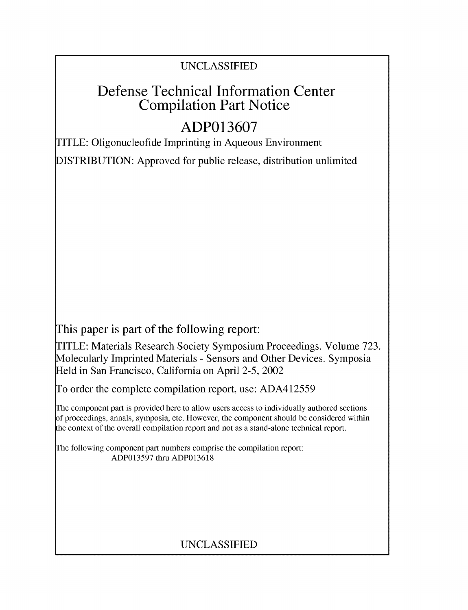# UNCLASSIFIED

# Defense Technical Information Center Compilation Part Notice

# **ADP013607**

TITLE: Oligonucleofide Imprinting in Aqueous Environment

DISTRIBUTION: Approved for public release, distribution unlimited

This paper is part of the following report:

TITLE: Materials Research Society Symposium Proceedings. Volume 723. Molecularly Imprinted Materials - Sensors and Other Devices. Symposia Held in San Francisco, California on April 2-5, 2002

To order the complete compilation report, use: ADA412559

The component part is provided here to allow users access to individually authored sections **)f** proceedings, annals, symposia, etc. However, the component should be considered within [he context of the overall compilation report and not as a stand-alone technical report.

The following component part numbers comprise the compilation report: ADP013597 thru ADP013618

# UNCLASSIFIED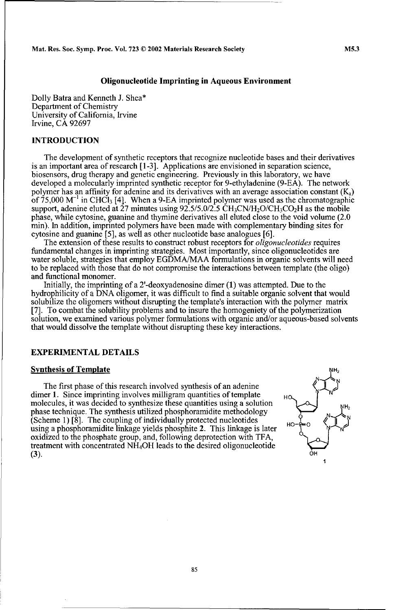# Oligonucleotide Imprinting in Aqueous Environment

Dolly Batra and Kenneth J. Shea\* Department of Chemistry University of California, Irvine Irvine, CA 92697

### **INTRODUCTION**

The development of synthetic receptors that recognize nucleotide bases and their derivatives is an important area of research [1-3]. Applications are envisioned in separation science, biosensors, drug therapy and genetic engineering. Previously in this laboratory, we have developed a molecularly imprinted synthetic receptor for 9-ethyladenine (9-EA). The network polymer has an affinity for adenine and its derivatives with an average association constant  $(K<sub>a</sub>)$ of 75,000 M<sup>-1</sup> in CHCl<sub>3</sub> [4]. When a 9-EA imprinted polymer was used as the chromatographic support, adenine eluted at  $27$  minutes using  $92.5/5.0/2.5 \text{ CH}_3\text{C}N/H_2O/\text{CH}_3\text{CO}_2H$  as the mobile phase, while cytosine, guanine and thymine derivatives all eluted close to the void volume (2.0 min). In addition, imprinted polymers have been made with complementary binding sites for cytosine and guanine [5], as well as other nucleotide base analogues [6].

The extension of these results to construct robust receptors for *oligonucleotides* requires fundamental changes in imprinting strategies. Most importantly, since oligonucleotides are water soluble, strategies that employ EGDMA/MAA formulations in organic solvents will need to be replaced with those that do not compromise the interactions between template (the oligo)

Initially, the imprinting of a 2'-deoxyadenosine dimer  $(1)$  was attempted. Due to the hydrophilicity of a DNA oligomer, it was difficult to find a suitable organic solvent that would solubilize the oligomers without disrupting the template's interaction with the polymer matrix [7]. To combat the solubility problems and to insure the homogeniety of the polymerization solution, we examined various polymer formulations with organic and/or aqueous-based solvents that would dissolve the template without disrupting these key interactions.

# EXPERIMENTAL **DETAILS**

# **Synthesis of Template**

The first phase of this research involved synthesis of an adenine dimer 1. Since imprinting involves milligram quantities of template molecules, it was decided to synthesize these quantities using a solution phase technique. The synthesis utilized phosphoramidite methodology (Scheme 1) [8]. The coupling of individually protected nucleotides using a phosphoramidite linkage yields phosphite 2. This linkage is later oxidized to the phosphate group, and, following deprotection with TFA, treatment with concentrated NH<sub>4</sub>OH leads to the desired oligonucleotide  $(3)$ .  $(3)$ .

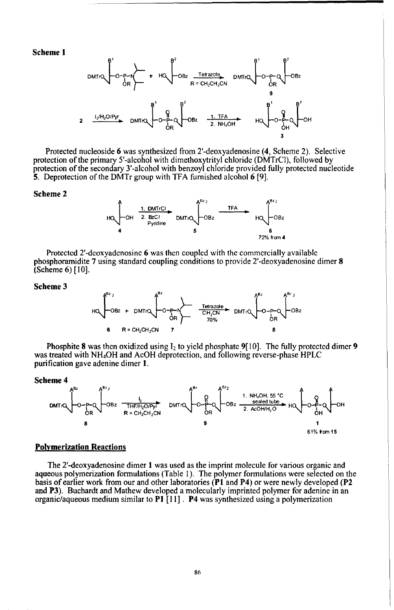Scheme **1**



Protected nucleoside 6 was synthesized from 2'-deoxyadenosine (4, Scheme 2). Selective protection of the primary 5'-alcohol with dimethoxytrityl chloride (DMTrCI), followed by protection of the secondary 3'-alcohol with benzoyl chloride provided fully protected nucleotide 5. Deprotection of the DMTr group with TFA furnished alcohol 6 **[9].**

#### Scheme 2



Protected 2'-deoxyadcnosinc 6 was then coupled with the commercially available phosphoramidite 7 using standard coupling conditions to provide 2'-deoxyadenosine dimer 8 (Scheme 6) [10].

#### Scheme **3**



Phosphite 8 was then oxidized using 12 to yield phosphate **9[** 10]. The fully protected dimer **9** was treated with NH4OH and AcOH deprotection, and following reverse-phase HPLC purification gave adenine dimer **1.**

#### Scheme 4



#### Polymerization Reactions

The 2'-deoxyadenosine dimer 1 was used as the imprint molecule for various organic and aqueous polymerization formulations (Table I). The polymer formulations were selected on the basis of earlier work from our and other laboratories (PI and P4) or were newly developed (P2 and P3). Buchardt and Mathew developed a molecularly imprinted polymer for adenine in an organic/aqueous medium similar to P! **[I** 1]. P4 was synthesized using a polymerization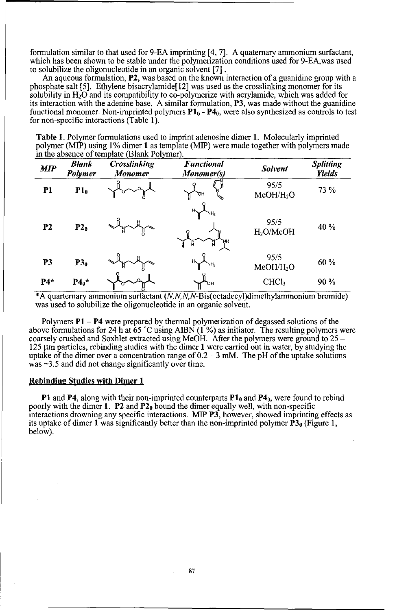formulation similar to that used for 9-EA imprinting [4, 7]. A quaternary ammonium surfactant, which has been shown to be stable under the polymerization conditions used for 9-EA,was used to solubilize the oligonucleotide in an organic solvent [7].

An aqueous formulation, P2, was based on the known interaction of a guanidine group with a phosphate salt [5]. Ethylene bisacrylamide[12] was used as the crosslinking monomer for its solubility in  $H_2O$  and its compatibility to co-polymerize with acrylamide, which was added for its interaction with the adenine base. A similar formulation, P3, was made without the guanidine functional monomer. Non-imprinted polymers  $P1_0 - P4_0$ , were also synthesized as controls to test for non-specific interactions (Table 1).

Table 1. Polymer formulations used to imprint adenosine dimer 1. Molecularly imprinted polymer (MIP) using 1% dimer 1 as template (MIP) were made together with polymers made in the absence of template (Blank Polymer).

| <b>MIP</b>     | <b>Blank</b><br><b>Polymer</b> | Crosslinking<br><b>Monomer</b> | <b>Functional</b><br>Monomer(s)    | <b>Solvent</b>                | <b>Splitting</b><br><b>Yields</b> |
|----------------|--------------------------------|--------------------------------|------------------------------------|-------------------------------|-----------------------------------|
| P1             | P1 <sub>0</sub>                |                                | "ОН                                | 95/5<br>MeOH/H <sub>2</sub> O | 73 %                              |
| P <sub>2</sub> | P2 <sub>0</sub>                |                                | `NH <sub>2</sub><br>'NΗ            | 95/5<br>H <sub>2</sub> O/MeOH | 40 %                              |
| <b>P3</b>      | P3 <sub>0</sub>                |                                | $H_{\diagdown}$<br>NH <sub>2</sub> | 95/5<br>MeOH/H <sub>2</sub> O | 60 %                              |
| $P4*$          | $P4_0*$                        |                                | ън                                 | CHCl <sub>3</sub>             | 90%                               |

\*A quartemary ammonium surfactant (N,N,N,N-Bis(octadecyl)dimethylammonium bromide) was used to solubilize the oligonucleotide in an organic solvent.

Polymers  $P1 - P4$  were prepared by thermal polymerization of degassed solutions of the above formulations for 24 h at 65 **'C** using AIBN (1 **%)** as initiator. The resulting polymers were coarsely crushed and Soxhlet extracted using McOH. After the polymers were ground to 25 - 125  $\mu$ m particles, rebinding studies with the dimer 1 were carried out in water, by studying the uptake of the dimer over a concentration range of 0.2 **-** 3 mM. The pH of the uptake solutions  $\sqrt{was} \sim 3.5$  and did not change significantly over time.

#### Rebinding Studies with Dimer **1**

**P1** and P4, along with their non-imprinted counterparts P1<sub>0</sub> and P4<sub>0</sub>, were found to rebind poorly with the dimer 1. P2 and  $P2<sub>0</sub>$  bound the dimer equally well, with non-specific interactions drowning any specific interactions. MIP P3, however, showed imprinting effects as its uptake of dimer 1 was significantly better than the non-imprinted polymer  $\mathbf{P3}_0$  (Figure 1, below).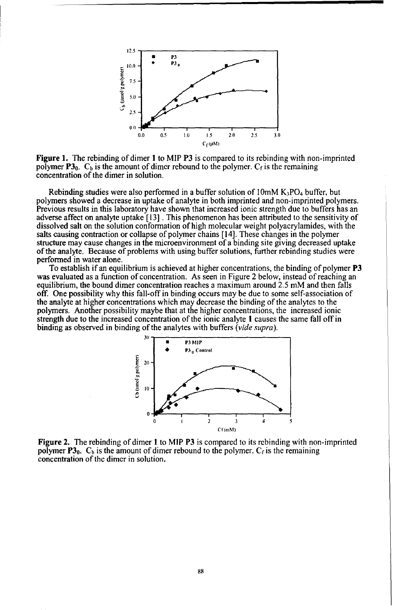

Figure **1.** The rebinding of dimer I to MIP P3 is compared to its rebinding with non-imprinted polymer  $P3_0$ . C<sub>b</sub> is the amount of dimer rebound to the polymer. C<sub>f</sub> is the remaining concentration of the dimer in solution.

Rebinding studies were also performed in a buffer solution of  $10 \text{mM K}_3PO_4$  buffer, but polymers showed a decrease in uptake of analyte in both imprinted and non-imprinted polymers. Previous results in this laboratory have shown that increased ionic strength due to buffers has an adverse affect on analyte uptake [13] . This phenomenon has been attributed to the sensitivity of dissolved salt on the solution conformation of high molecular weight polyacrylamides, with the salts causing contraction or collapse of polymer chains [14]. These changes in the polymer structure may cause changes in the microenvironment of a binding site giving decreased uptake of the analyte. Because of problems with using buffer solutions, further rebinding studies were performed in water alone.<br>To establish if an equilibrium is achieved at higher concentrations, the binding of polymer **P3** 

was evaluated as a function of concentration. As seen in Figure 2 below, instead of reaching an equilibrium, the bound dimer concentration reaches a maximum around 2.5 mM and then falls off. One possibility why this fall-off in binding occurs may be due to some self-association of the analyte at higher concentrations which may decrease the binding of the analytes to the polymers, Another possibility maybe that at the higher concentrations, the increased ionic strength due to the increased concentration of the ionic analyte **I** causes the same fall off in binding as observed in binding of the analytes with buffers *(vide supra).*



Figure 2. The rebinding of dimer 1 to MIP P3 is compared to its rebinding with non-imprinted polymer  $P3_0$ .  $C_b$  is the amount of dimer rebound to the polymer.  $C_f$  is the remaining concentration of the dimer in solution.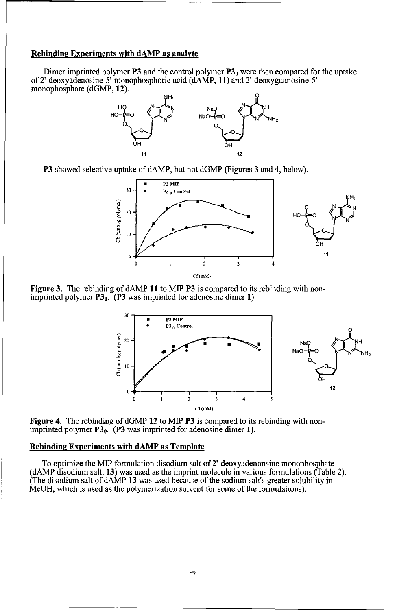## Rebinding Experiments with **dAMP** as analyte

Dimer imprinted polymer P3 and the control polymer  $P3_0$  were then compared for the uptake of 2'-deoxyadenosine-5'-monophosphoric acid (dAMP, **11)** and 2'-deoxyguanosine-5' monophosphate (dGMP, 12).



P3 showed selective uptake of dAMP, but not dGMP (Figures 3 and 4, below).



Figure 3. The rebinding of dAMP **11** to MIP P3 is compared to its rebinding with nonimprinted polymer  $P3_0$ . (P3 was imprinted for adenosine dimer 1).



Figure 4. The rebinding of dGMP 12 to MIP P3 is compared to its rebinding with nonimprinted polymer  $P3_0$ . (P3 was imprinted for adenosine dimer 1).

# Rebinding Experiments with **dAMP** as Template

To optimize the **MIP** formulation disodium salt of 2'-deoxyadenonsine monophosphate (dAMP disodium salt, **13)** was used as the imprint molecule in various formulations (Table 2). (The disodium salt of dAMP **13** was used because of the sodium salt's greater solubility in MeOH, which is used as the polymerization solvent for some of the formulations).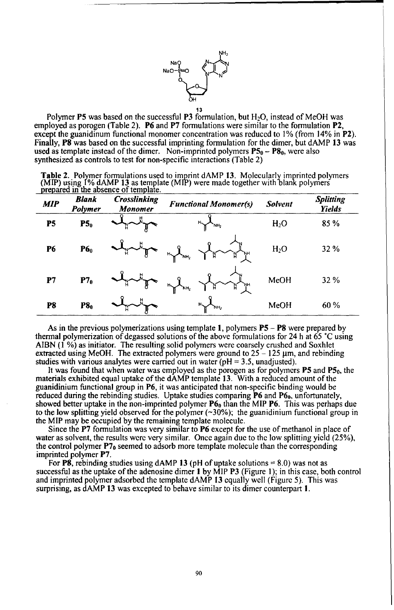

**13** Polymer P5 was based on the successful P3 formulation, but H20, instead of MeOH was employed as porogen (Table 2). **P6** and P7 formulations were similar to the formulation P2, except the guanidinum functional monomer concentration was reduced to 1% (from 14% in P2). Finally, **PS** was based on the successful imprinting formulation for the dimer, but dAMP 13 was used as template instead of the dimer. Non-imprinted polymers **P5o - P80,** were also synthesized as controls to test for non-specific interactions (Table 2)

| <b>Table 2.</b> Polymer formulations used to imprint dAMP 13. Molecularly imprinted polymers                         |  |
|----------------------------------------------------------------------------------------------------------------------|--|
| (MIP) using 1% dAMP 13 as template (MIP) were made together with blank polymers prepared in the absence of template. |  |
|                                                                                                                      |  |

| <b>MIP</b> | Blank<br>Polymer | <b>Crosslinking</b><br>Monomer | <b>Functional Monomer(s)</b>                             | <b>Solvent</b>   | <b>Splitting</b><br><b>Yields</b> |
|------------|------------------|--------------------------------|----------------------------------------------------------|------------------|-----------------------------------|
| P5         | P5 <sub>0</sub>  |                                | NH <sub>2</sub>                                          | H <sub>2</sub> O | 85%                               |
| <b>P6</b>  | P6 <sub>0</sub>  | H                              | $\mathbf{R}$<br>$\overline{a}$<br>`NН<br>NH <sub>2</sub> | H <sub>2</sub> O | 32 %                              |
| P7         | P7 <sub>0</sub>  |                                | 'NН<br>$H_{\text{H}_2}$                                  | MeOH             | 32 %                              |
| P8         | P8 <sub>0</sub>  |                                | $H_{\smallsetminus}$<br>`NH <sub>2</sub>                 | MeOH             | 60 %                              |

As in the previous polymerizations using template **1,** polymers **P5 - P8** were prepared by thermal polymerization of degassed solutions of the above formulations for 24 h at 65 **°C** using AIBN **(1** %) as initiator. The resulting solid polymers were coarsely crushed and Soxhlet extracted using MeOH. The extracted polymers were ground to  $25 - 125$  µm, and rebinding studies with various analytes were carried out in water ( $pH = 3.5$ , unadjusted).

It was found that when water was employed as the porogen as for polymers **P5** and **P5**<sub>0</sub>, the materials exhibited equal uptake of the dAMP template **13**. With a reduced amount of the guanidinium functional group in P6, it was anticipated that non-specific binding would be reduced during the rebinding studies. Uptake studies comparing **P6** and P69, unfortunately, showed better uptake in the non-imprinted polymer  $P6<sub>0</sub>$  than the MIP **P6**. This was perhaps due to the low splitting yield observed for the polymer  $(\sim 30\%)$ ; the guanidinium functional group in the MIP may be occupied by the remaining template molecule.

Since the **P7** formulation was very similar to **P6** except for the use of methanol in place of water as solvent, the results were very similar. Once again due to the low splitting yield (25%), the control polymer  $P7_0$  seemed to adsorb more template molecule than the corresponding imprinted polymer P7.

For **PS,** rebinding studies using dAMP 13 (pH of uptake solutions **=** 8.0) was not as successful as the uptake of the adenosine dimer **I** by MIP P3 (Figure 1); in this case, both control and imprinted polymer adsorbed the template dAMP 13 equally well (Figure 5). This was surprising, as dAMP 13 was excepted to behave similar to its dimer counterpart I.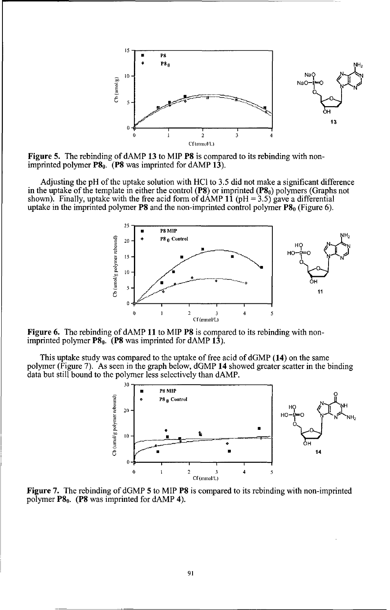

Figure 5. The rebinding of dAMP 13 to MIP **P8** is compared to its rebinding with non-imprinted polymer **P8**<sub>0</sub>. (**P8** was imprinted for dAMP 13).

Adjusting the pH of the uptake solution with HC1 to 3.5 did not make a significant difference in the uptake of the template in either the control **(P8)** or imprinted **(P8<sub>0</sub>)** polymers **(Graphs not shown)**. Finally, uptake with the free acid form of dAMP **11** ( $pH = 3.5$ ) gave a differential uptake in the imprinted polymer  $P8$  and the non-imprinted control polymer  $P8<sub>0</sub>$  (Figure 6).



Figure 6. The rebinding of dAMP **11** to MIP **P8** is compared to its rebinding with nonimprinted polymer **P8**<sub>0</sub>. (P8 was imprinted for dAMP 13).

This uptake study was compared to the uptake of free acid of dGMP (14) on the same polymer (Figure 7). As seen in the graph below, dGMP 14 showed greater scatter in the binding data but still bound to the polymer less selectively than dAMP.



Figure 7. The rebinding of dGMP 5 to MIP **P8** is compared to its rebinding with non-imprinted polymer  $\mathbf{P8}_0$ . (P8 was imprinted for dAMP 4).